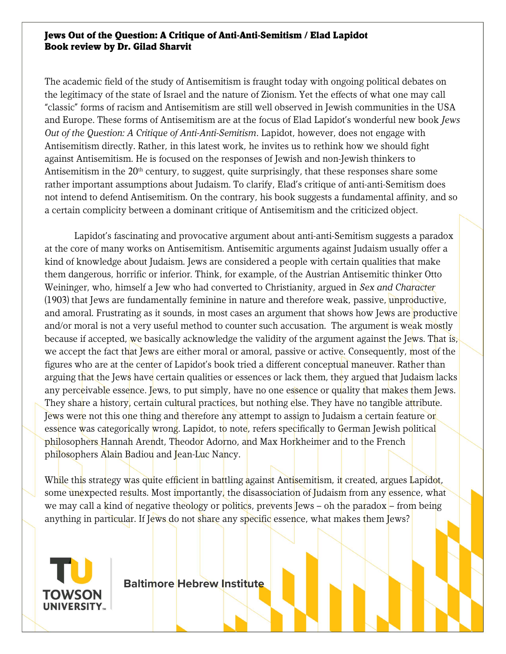## Jews Out of the Question: A Critique of Anti-Anti-Semitism / Elad Lapidot Book review by Dr. Gilad Sharvit

The academic field of the study of Antisemitism is fraught today with ongoing political debates on the legitimacy of the state of Israel and the nature of Zionism. Yet the effects of what one may call "classic" forms of racism and Antisemitism are still well observed in Jewish communities in the USA and Europe. These forms of Antisemitism are at the focus of Elad Lapidot's wonderful new book Jews Out of the Question: A Critique of Anti-Anti-Semitism. Lapidot, however, does not engage with Antisemitism directly. Rather, in this latest work, he invites us to rethink how we should fight against Antisemitism. He is focused on the responses of Jewish and non-Jewish thinkers to Antisemitism in the 20<sup>th</sup> century, to suggest, quite surprisingly, that these responses share some rather important assumptions about Judaism. To clarify, Elad's critique of anti-anti-Semitism does not intend to defend Antisemitism. On the contrary, his book suggests a fundamental affinity, and so a certain complicity between a dominant critique of Antisemitism and the criticized object.

Lapidot's fascinating and provocative argument about anti-anti-Semitism suggests a paradox at the core of many works on Antisemitism. Antisemitic arguments against Judaism usually offer a kind of knowledge about Judaism. Jews are considered a people with certain qualities that make them dangerous, horrific or inferior. Think, for example, of the Austrian Antisemitic thinker Otto Weininger, who, himself a Jew who had converted to Christianity, argued in Sex and Character (1903) that Jews are fundamentally feminine in nature and therefore weak, passive, unproductive, and amoral. Frustrating as it sounds, in most cases an argument that shows how Jews are productive and/or moral is not a very useful method to counter such accusation. The argument is weak mostly because if accepted, we basically acknowledge the validity of the argument against the Jews. That is, we accept the fact that Jews are either moral or amoral, passive or active. Consequently, most of the figures who are at the center of Lapidot's book tried a different conceptual maneuver. Rather than arguing that the Jews have certain qualities or essences or lack them, they argued that Judaism lacks any perceivable essence. Jews, to put simply, have no one essence or quality that makes them Jews. They share a history, certain cultural practices, but nothing else. They have no tangible attribute. Jews were not this one thing and therefore any attempt to assign to Judaism a certain feature or essence was categorically wrong. Lapidot, to note, refers specifically to German Jewish political philosophers Hannah Arendt, Theodor Adorno, and Max Horkheimer and to the French philosophers Alain Badiou and Jean-Luc Nancy.

While this strategy was quite efficient in battling against Antisemitism, it created, argues Lapidot, some unexpected results. Most importantly, the disassociation of Judaism from any essence, what we may call a kind of negative theology or politics, prevents Jews – oh the paradox – from being anything in particular. If Jews do not share any specific essence, what makes them Jews?



Baltimore Hebrew Institute